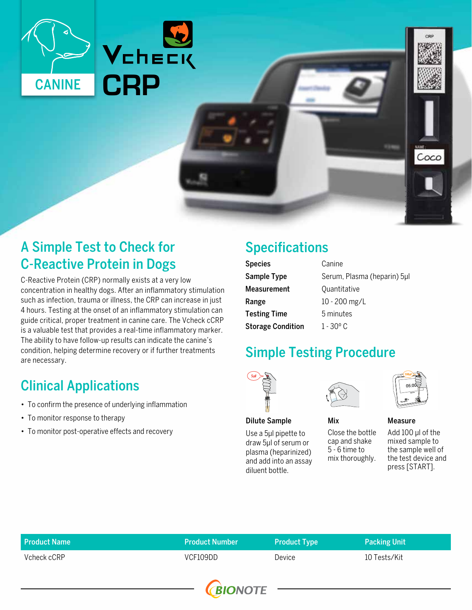

### A Simple Test to Check for C-Reactive Protein in Dogs

C-Reactive Protein (CRP) normally exists at a very low concentration in healthy dogs. After an inflammatory stimulation such as infection, trauma or illness, the CRP can increase in just 4 hours. Testing at the onset of an inflammatory stimulation can guide critical, proper treatment in canine care. The Vcheck cCRP is a valuable test that provides a real-time inflammatory marker. The ability to have follow-up results can indicate the canine's condition, helping determine recovery or if further treatments are necessary.

# Clinical Applications

- To confirm the presence of underlying inflammation
- To monitor response to therapy
- To monitor post-operative effects and recovery

# Specifications

| <b>Species</b>           | Canine<br>Serum, Plasma (heparin) 5µl |  |
|--------------------------|---------------------------------------|--|
| Sample Type              |                                       |  |
| <b>Measurement</b>       | Quantitative                          |  |
| Range                    | 10 - 200 mg/L                         |  |
| <b>Testing Time</b>      | 5 minutes                             |  |
| <b>Storage Condition</b> | 1 - 30 <sup>°</sup> C                 |  |

### Simple Testing Procedure



Use a 5μl pipette to draw 5μl of serum or plasma (heparinized) and add into an assay diluent bottle.



Mix

# Measure

Coco

Close the bottle cap and shake 5 - 6 time to mix thoroughly. Add 100 μl of the mixed sample to the sample well of the test device and press [START].

| <b>Product Name</b> | <b>Product Number</b> | <b>Product Type</b> | Packing Unit |
|---------------------|-----------------------|---------------------|--------------|
| Vcheck cCRP         | VCF109DD              | Device              | 10 Tests/Kit |
|                     |                       |                     |              |

**BIONOTE**